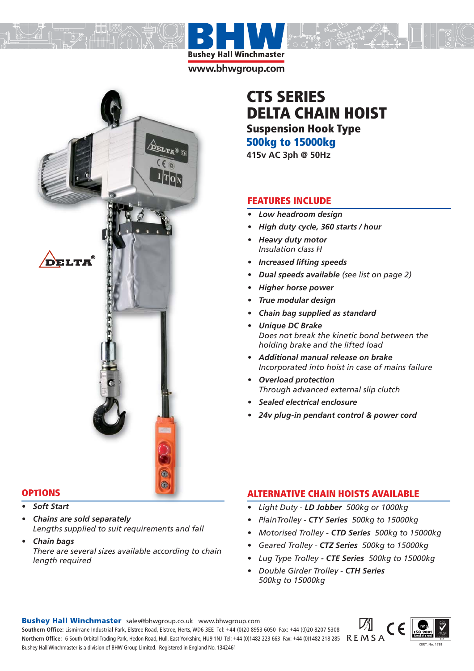**Bushey Hall Winchmaster** www.bhwgroup.com



#### **OPTIONS PTIONS**

- 
- *Chains are sold separately Lengths supplied to suit requirements and fall*
- *Chain bags There are several sizes available according to chain length required*

# **CTS SERIES DELTA CHAIN HOIST Suspension Hook Type 500kg to 15000kg**

**415v AC 3ph @ 50Hz**

## **FEATURES INCLUDE**

- *Low headroom design*
- *High duty cycle, 360 starts / hour*
- *Heavy duty motor Insulation class H*
- *Increased lifting speeds*
- *Dual speeds available (see list on page 2)*
- *Higher horse power*
- *True modular design*
- *Chain bag supplied as standard*
- *Unique DC Brake Does not break the kinetic bond between the holding brake and the lifted load*
- *Additional manual release on brake Incorporated into hoist in case of mains failure*
- *Overload protection Through advanced external slip clutch*
- *Sealed electrical enclosure*
- *24v plug-in pendant control & power cord*

# **ALTERNATIVE CHAIN HOISTS AVAILABLE**

- *Light Duty - LD Jobber 500kg or 1000kg*
- *PlainTrolley CTY Series 500kg to 15000kg*
- *Motorised Trolley CTD Series 500kg to 15000kg*
- *Geared Trolley CTZ Series 500kg to 15000kg*
- *Lug Type Trolley CTE Series 500kg to 15000kg*
- *Double Girder Trolley CTH Series 500kg to 15000kg*

**Bushey Hall Winchmaster** sales@bhwgroup.co.uk www.bhwgroup.com

**Southern Office:** Lismirrane Industrial Park, Elstree Road, Elstree, Herts, WD6 3EE Tel: +44 (0)20 8953 6050 Fax: +44 (0)20 8207 5308 Northern Office: 6 South Orbital Trading Park, Hedon Road, Hull, East Yorkshire, HU9 1NJ Tel: +44 (0)1482 223 663 Fax: +44 (0)1482 218 285 REMSA Bushey Hall Winchmaster is a division of BHW Group Limited. Registered in England No. 1342461